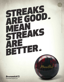# STREAKS ARE GOOD MEAN STREAKS<br>STREAKS ARE BETTER<br>BETTER